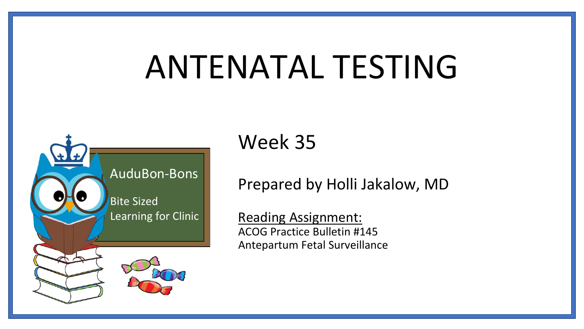# ANTENATAL TESTING



Week 35

Prepared by Holli Jakalow, MD

Reading Assignment: ACOG Practice Bulletin #145 Antepartum Fetal Surveillance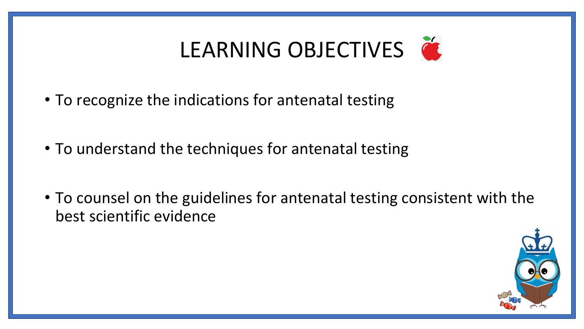## LEARNING OBJECTIVES

- To recognize the indications for antenatal testing
- To understand the techniques for antenatal testing
- To counsel on the guidelines for antenatal testing consistent with the best scientific evidence

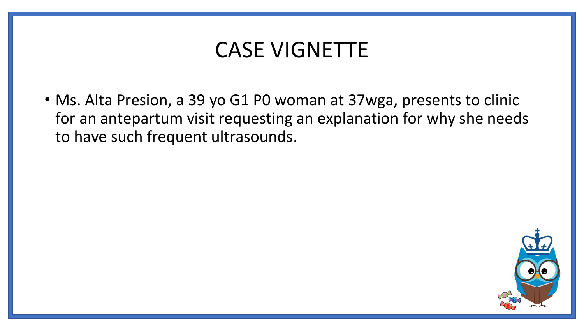### CASE VIGNETTE

• Ms. Alta Presion, a 39 yo G1 P0 woman at 37wga, presents to clinic for an antepartum visit requesting an explanation for why she needs to have such frequent ultrasounds.

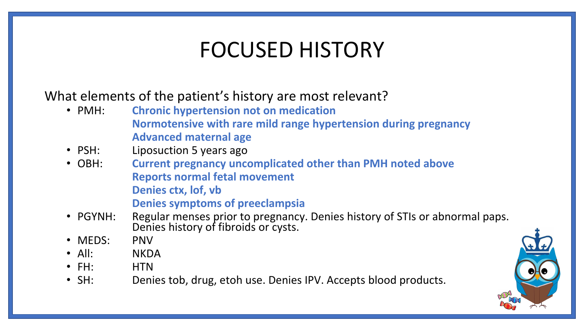### FOCUSED HISTORY

What elements of the patient's history are most relevant?

- PMH: **Chronic hypertension not on medication Normotensive with rare mild range hypertension during pregnancy Advanced maternal age**
- PSH: Liposuction 5 years ago
- OBH: **Current pregnancy uncomplicated other than PMH noted above Reports normal fetal movement Denies ctx, lof, vb Denies symptoms of preeclampsia**
- PGYNH: Regular menses prior to pregnancy. Denies history of STIs or abnormal paps. Denies history of fibroids or cysts.
- MEDS: PNV
- All: NKDA
- FH: HTN
- SH: Denies tob, drug, etoh use. Denies IPV. Accepts blood products.

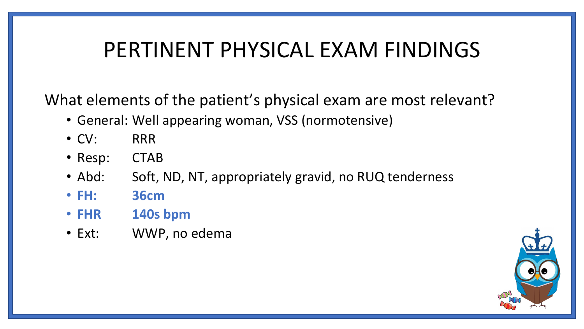### PERTINENT PHYSICAL EXAM FINDINGS

What elements of the patient's physical exam are most relevant?

- General: Well appearing woman, VSS (normotensive)
- CV: RRR
- Resp: CTAB
- Abd: Soft, ND, NT, appropriately gravid, no RUQ tenderness
- **FH: 36cm**
- **FHR 140s bpm**
- Ext: WWP, no edema

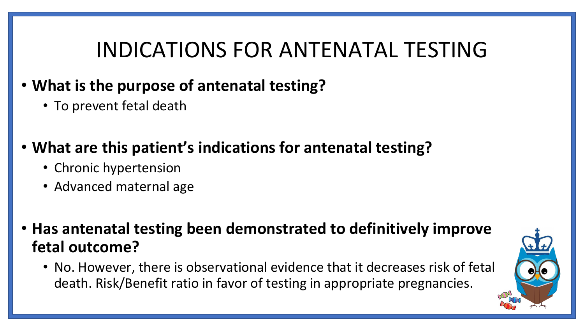### INDICATIONS FOR ANTENATAL TESTING

- **What is the purpose of antenatal testing?** 
	- To prevent fetal death

#### • **What are this patient's indications for antenatal testing?**

- Chronic hypertension
- Advanced maternal age

• **Has antenatal testing been demonstrated to definitively improve fetal outcome?** 

• No. However, there is observational evidence that it decreases risk of fetal death. Risk/Benefit ratio in favor of testing in appropriate pregnancies.

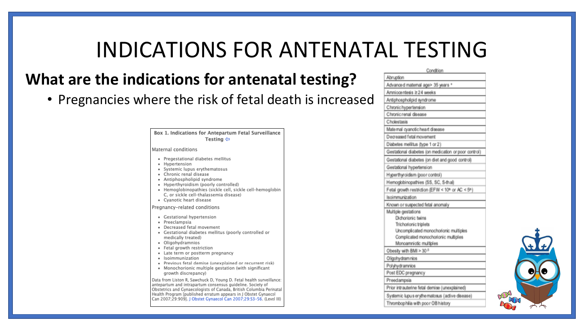### INDICATIONS FOR ANTENATAL TESTING

#### **What are the indications for antenatal testing?**

• Pregnancies where the risk of fetal death is increased

Box 1. Indications for Antepartum Fetal Surveillance Testing  $\Leftrightarrow$ Maternal conditions · Pregestational diabetes mellitus · Hypertension · Systemic lupus erythematosus • Chronic renal disease · Antiphospholipid syndrome · Hyperthyroidism (poorly controlled) · Hemoglobinopathies (sickle cell, sickle cell-hemoglobin C. or sickle cell-thalassemia disease) • Cyanotic heart disease Pregnancy-related conditions • Gestational hypertension • Preeclampsia · Decreased fetal movement · Gestational diabetes mellitus (poorly controlled or medically treated) · Oligohydramnios · Fetal growth restriction • Late term or postterm pregnancy · Isoimmunization · Previous fetal demise (unexplained or recurrent risk) • Monochorionic multiple gestation (with significant growth discrepancy) Data from Liston R, Sawchuck D, Young D. Fetal health surveillance: antepartum and intrapartum consensus guideline. Society of Obstetrics and Gynaecologists of Canada, British Columbia Perinatal Health Program [published erratum appears in J Obstet Gynaecol Can 2007;29:909]. J Obstet Gynaecol Can 2007;29:S3-56. (Level III)

| Condition                                            |  |
|------------------------------------------------------|--|
| Abruption                                            |  |
| Advanced maternal age> 35 years *                    |  |
| Amniocentesis ≥24 weeks                              |  |
| Antiphospholipid syndrome                            |  |
| Chronic hypertension                                 |  |
| Chronic renal disease                                |  |
| Cholestasis                                          |  |
| Maternal cyanotic heart disease                      |  |
| Decreased fetal movement                             |  |
| Diabetes mellitus (type 1 or 2)                      |  |
| Gestational diabetes (on medication or poor control) |  |
| Gestational diabetes (on diet and good control)      |  |
| Gestational hypertension                             |  |
| Hyperthyroidism (poor control)                       |  |
| Hemoglobinopathies (SS, SC, S-thal)                  |  |
| Fetal growth restriction (EFW < 10th or AC < 5th)    |  |
| Isoimmunization                                      |  |
| Known or suspected fetal anomaly                     |  |
| Multiple gestations                                  |  |
| Dichorionic twins                                    |  |
| Trichorionic triplets                                |  |
| Uncomplicated monochorionic multiples                |  |
| Complicated monochorionic multiples                  |  |
| Monoamniotic multiples                               |  |
| Obesity with BMI > 30 F                              |  |
| Oligohydramnios                                      |  |
| Polyhydramnios                                       |  |
| Post EDC pregnancy                                   |  |
| Preedampsia                                          |  |
| Prior intrauterine fetal demise (unexplained)        |  |
| Systemic lupus erythe matosus (active disease)       |  |
| Thrombophilia with poor OB history                   |  |

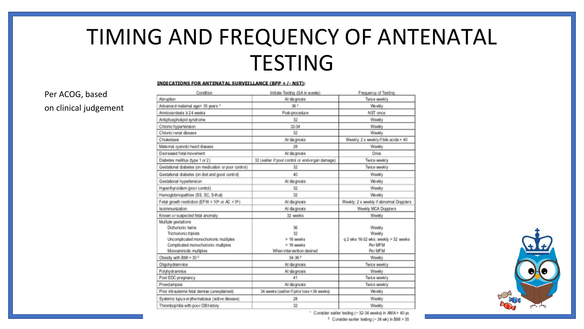### TIMING AND FREQUENCY OF ANTENATAL **TESTING**

#### **INDICATIONS FOR ANTENATAL SURVEILLANCE (BPP + /- NST):**

Per ACOG, based on clinical judgement

| Condition                                                                                                                                                                   | Initiate Testing (GA in weeks)                                    | Frequency of Testing                                                           |
|-----------------------------------------------------------------------------------------------------------------------------------------------------------------------------|-------------------------------------------------------------------|--------------------------------------------------------------------------------|
| Abruption                                                                                                                                                                   | At diagnosis                                                      | Twice weekly                                                                   |
| Advanced maternal age> 35 years *                                                                                                                                           | 36+                                                               | Weekly                                                                         |
| Amniocentesis ≥24 weeks                                                                                                                                                     | Post-procedure                                                    | NST once                                                                       |
| Antiphospholipid syndrome                                                                                                                                                   | 32                                                                | Weekly                                                                         |
| Chronic hypertension                                                                                                                                                        | 32-34                                                             | Weekly                                                                         |
| Chronic renal disease                                                                                                                                                       | 32                                                                | Weekly                                                                         |
| Cholestasis                                                                                                                                                                 | At diagnosis                                                      | Weekly; 2 x weekly if bile acids > 40                                          |
| Maternal cyanotic heart disease                                                                                                                                             | 28                                                                | Weekly                                                                         |
| Decreased fetal movement                                                                                                                                                    | At diagnosis                                                      | Once                                                                           |
| Diabetes mellitus (type 1 or 2)                                                                                                                                             | 32 (earlier if poor control or end-organ damage)                  | Twice weekly                                                                   |
| Gestational diabetes (on medication or poor control)                                                                                                                        | 32                                                                | Twice weekly                                                                   |
| Gestational diabetes (on diet and good control)                                                                                                                             | 40                                                                | Weekly                                                                         |
| Gestational hypertension                                                                                                                                                    | At diagnosis                                                      | Weekly                                                                         |
| Hyperthyroidism (poor control)                                                                                                                                              | 32                                                                | Weekly                                                                         |
| Hemoglobinopathies (SS, SC, S-thal)                                                                                                                                         | 32                                                                | Weekly                                                                         |
| Fetal growth restriction (EFW < 10th or AC < 5th)                                                                                                                           | At diagnosis                                                      | Weekly; 2 x weekly if abnormal Dopplers                                        |
| Isoimmunization                                                                                                                                                             | At diagnosis                                                      | Weekly MCA Dopplers                                                            |
| Known or suspected fetal anomaly                                                                                                                                            | 32 weeks                                                          | Weekly                                                                         |
| Multiple gestations<br>Dichorionic twins<br>Trichorionic triplets<br>Uncomplicated monochorionic multiples<br>Complicated monochorionic multiples<br>Monoamniotic multiples | 36<br>32<br>> 16 weeks<br>> 16 weeks<br>When intervention desired | Weekly<br>Weekly<br>q 2 wks 16-32 wks; weekly > 32 weeks<br>Per MFM<br>Per MFM |
| Obesity with BMI > 30 F                                                                                                                                                     | $34 - 36$ <sup>B</sup>                                            | Weekly                                                                         |
| Oligohydram nios                                                                                                                                                            | At diagnosis                                                      | Twice weekly                                                                   |
| Polyhydramnios                                                                                                                                                              | At diagnosis                                                      | Weekly                                                                         |
| Post EDC pregnancy                                                                                                                                                          | 41                                                                | Twice weekly                                                                   |
| Preedampsia                                                                                                                                                                 | At diagnosis                                                      | Twice weekly                                                                   |
| Prior intrauterine fetal demise (unexplained)                                                                                                                               | 34 weeks (earlier if prior loss < 34 weeks)                       | Weekly                                                                         |
| Systemic lupus erythe matosus (active disease)                                                                                                                              | 28                                                                | Weekly                                                                         |
| Thrombophilia with poor OB history                                                                                                                                          | 32                                                                | Weekly                                                                         |



\* Consider earlier testing (~ 32-34 weeks) in AMA> 40 yo <sup>p</sup> Consider earlier testing (~ 34 wk) in BMI > 35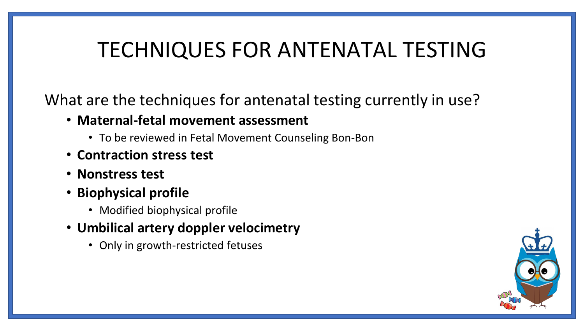### TECHNIQUES FOR ANTENATAL TESTING

What are the techniques for antenatal testing currently in use?

- **Maternal-fetal movement assessment** 
	- To be reviewed in Fetal Movement Counseling Bon-Bon
- **Contraction stress test**
- **Nonstress test**
- **Biophysical profile** 
	- Modified biophysical profile
- **Umbilical artery doppler velocimetry** 
	- Only in growth-restricted fetuses

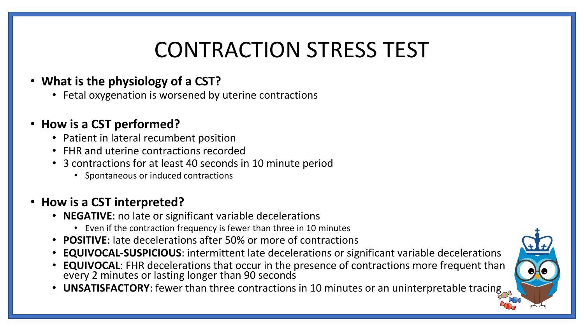### CONTRACTION STRESS TEST

#### • **What is the physiology of a CST?**

• Fetal oxygenation is worsened by uterine contractions

#### • **How is a CST performed?**

- Patient in lateral recumbent position
- FHR and uterine contractions recorded
- 3 contractions for at least 40 seconds in 10 minute period
	- Spontaneous or induced contractions

#### • **How is a CST interpreted?**

- **NEGATIVE**: no late or significant variable decelerations
	- Even if the contraction frequency is fewer than three in 10 minutes
- **POSITIVE**: late decelerations after 50% or more of contractions
- **EQUIVOCAL-SUSPICIOUS**: intermittent late decelerations or significant variable decelerations
- **EQUIVOCAL**: FHR decelerations that occur in the presence of contractions more frequent than every 2 minutes or lasting longer than 90 seconds
- **UNSATISFACTORY**: fewer than three contractions in 10 minutes or an uninterpretable tracing

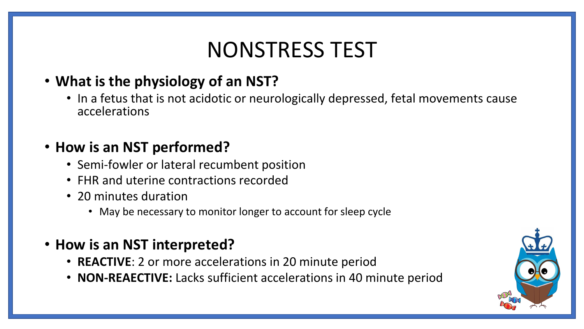### NONSTRESS TEST

#### • **What is the physiology of an NST?**

• In a fetus that is not acidotic or neurologically depressed, fetal movements cause accelerations

#### • **How is an NST performed?**

- Semi-fowler or lateral recumbent position
- FHR and uterine contractions recorded
- 20 minutes duration
	- May be necessary to monitor longer to account for sleep cycle
- **How is an NST interpreted?** 
	- **REACTIVE**: 2 or more accelerations in 20 minute period
	- **NON-REAECTIVE:** Lacks sufficient accelerations in 40 minute period

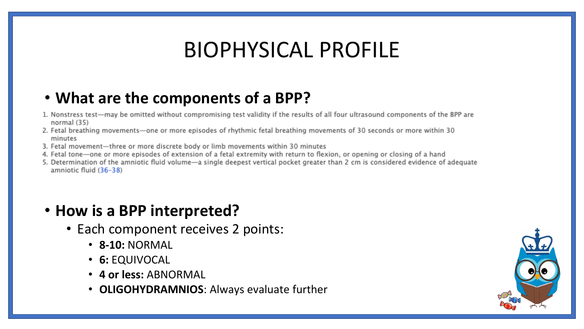### BIOPHYSICAL PROFILE

#### • **What are the components of a BPP?**

- 1. Nonstress test-may be omitted without compromising test validity if the results of all four ultrasound components of the BPP are normal (35)
- 2. Fetal breathing movements-one or more episodes of rhythmic fetal breathing movements of 30 seconds or more within 30 minutes
- 3. Fetal movement-three or more discrete body or limb movements within 30 minutes
- 4. Fetal tone-one or more episodes of extension of a fetal extremity with return to flexion, or opening or closing of a hand
- 5. Determination of the amniotic fluid volume—a single deepest vertical pocket greater than 2 cm is considered evidence of adequate amniotic fluid (36-38)

#### • **How is a BPP interpreted?**

- Each component receives 2 points:
	- **8-10:** NORMAL
	- **6:** EQUIVOCAL
	- **4 or less:** ABNORMAL
	- **OLIGOHYDRAMNIOS**: Always evaluate further

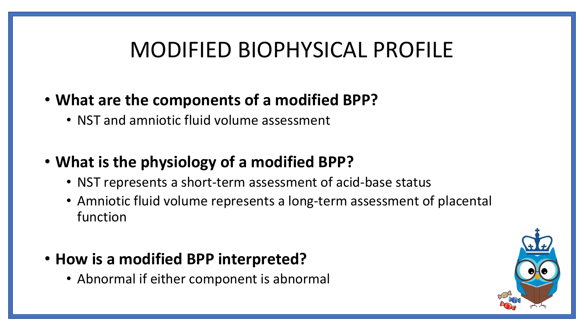### MODIFIED BIOPHYSICAL PROFILE

#### • **What are the components of a modified BPP?**

• NST and amniotic fluid volume assessment

#### • **What is the physiology of a modified BPP?**

- NST represents a short-term assessment of acid-base status
- Amniotic fluid volume represents a long-term assessment of placental function

#### • **How is a modified BPP interpreted?**

• Abnormal if either component is abnormal

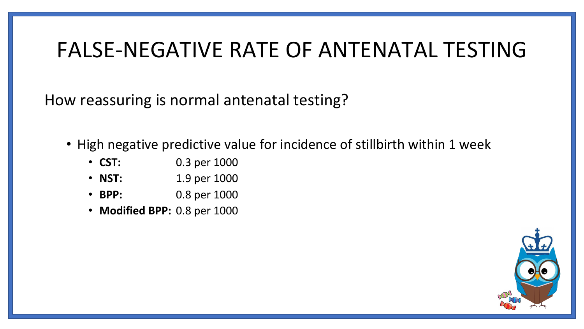### FALSE-NEGATIVE RATE OF ANTENATAL TESTING

How reassuring is normal antenatal testing?

- High negative predictive value for incidence of stillbirth within 1 week
	- **CST:** 0.3 per 1000
	- **NST:** 1.9 per 1000
	- **BPP:** 0.8 per 1000
	- **Modified BPP:** 0.8 per 1000

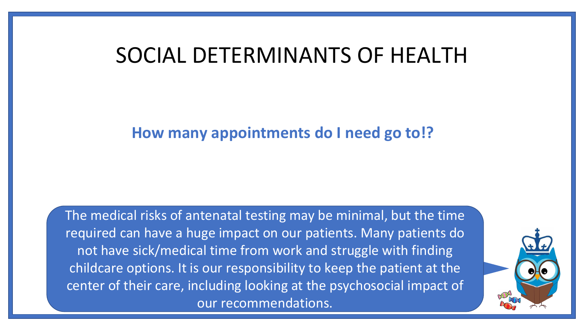### SOCIAL DETERMINANTS OF HEALTH

#### **How many appointments do I need go to!?**

The medical risks of antenatal testing may be minimal, but the time required can have a huge impact on our patients. Many patients do not have sick/medical time from work and struggle with finding childcare options. It is our responsibility to keep the patient at the center of their care, including looking at the psychosocial impact of our recommendations.

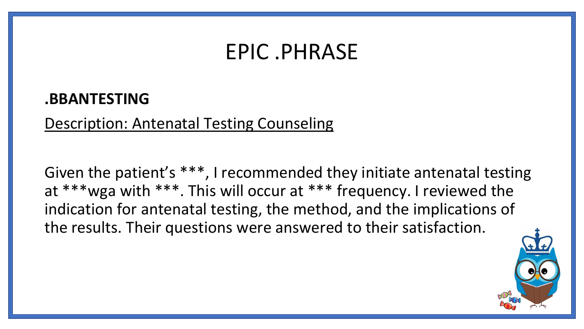### EPIC .PHRASE

#### **.BBANTESTING**

Description: Antenatal Testing Counseling

Given the patient's \*\*\*, I recommended they initiate antenatal testing at \*\*\*wga with \*\*\*. This will occur at \*\*\* frequency. I reviewed the indication for antenatal testing, the method, and the implications of the results. Their questions were answered to their satisfaction.

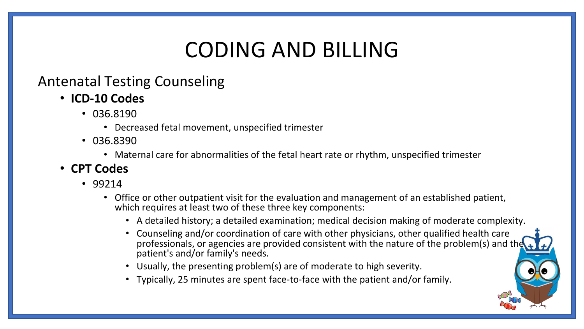### CODING AND BILLING

#### Antenatal Testing Counseling

- **ICD-10 Codes** 
	- 036.8190
		- Decreased fetal movement, unspecified trimester
	- 036.8390
		- Maternal care for abnormalities of the fetal heart rate or rhythm, unspecified trimester

#### • **CPT Codes**

- 99214
	- Office or other outpatient visit for the evaluation and management of an established patient, which requires at least two of these three key components:
		- A detailed history; a detailed examination; medical decision making of moderate complexity.
		- Counseling and/or coordination of care with other physicians, other qualified health care professionals, or agencies are provided consistent with the nature of the problem(s) and the patient's and/or family's needs.
		- Usually, the presenting problem(s) are of moderate to high severity.
		- Typically, 25 minutes are spent face-to-face with the patient and/or family.